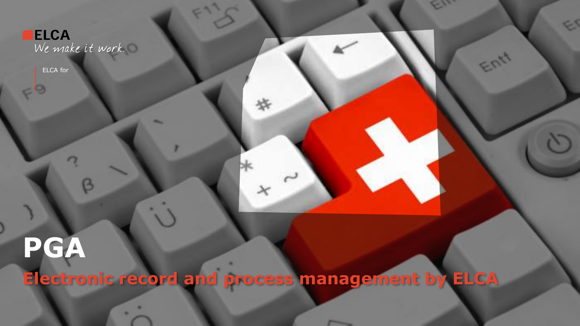**ELCA**<br>We make it work.

ELCA for

**PGA**

**Electronic record and process management by ELCA**

ES

Entr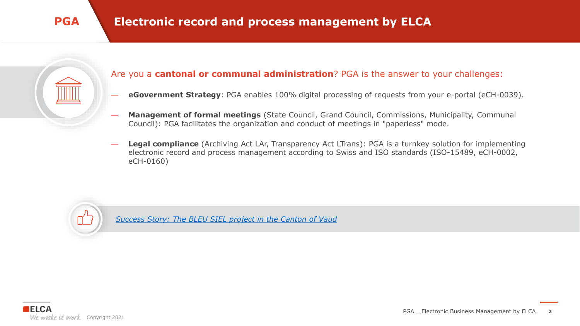

### Are you a **cantonal or communal administration**? PGA is the answer to your challenges:

- **eGovernment Strategy**: PGA enables 100% digital processing of requests from your e-portal (eCH-0039).
- **Management of formal meetings** (State Council, Grand Council, Commissions, Municipality, Communal Council): PGA facilitates the organization and conduct of meetings in "paperless" mode.
- **Legal compliance** (Archiving Act LAr, Transparency Act LTrans): PGA is a turnkey solution for implementing electronic record and process management according to Swiss and ISO standards (ISO-15489, eCH-0002, eCH-0160)



*[Success Story: The BLEU SIEL project in the Canton of Vaud](https://gazette.vd.ch/2020/juin/301/siel-facilitera-les-echanges-au-sein-de-letat)*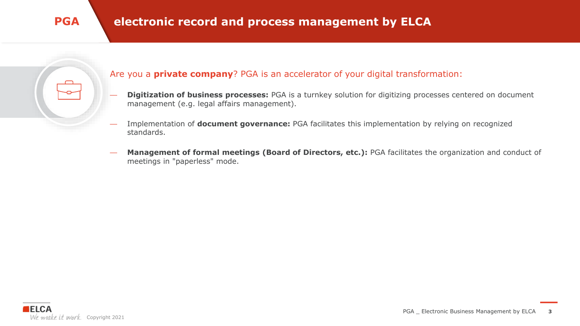### Are you a **private company**? PGA is an accelerator of your digital transformation:

- **Digitization of business processes:** PGA is a turnkey solution for digitizing processes centered on document management (e.g. legal affairs management).
- Implementation of **document governance:** PGA facilitates this implementation by relying on recognized standards.
- **Management of formal meetings (Board of Directors, etc.):** PGA facilitates the organization and conduct of meetings in "paperless" mode.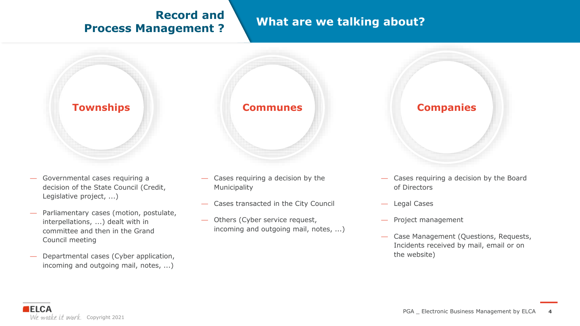## **Record and Process Management ?**

## **What are we talking about?**



- Governmental cases requiring a decision of the State Council (Credit, Legislative project, ...)
- Parliamentary cases (motion, postulate, interpellations, ...) dealt with in committee and then in the Grand Council meeting
- Departmental cases (Cyber application, incoming and outgoing mail, notes, ...)



- Cases requiring a decision by the Municipality
- Cases transacted in the City Council
- Others (Cyber service request, incoming and outgoing mail, notes, ...)



- Cases requiring a decision by the Board of Directors
- Legal Cases
- Project management
- Case Management (Questions, Requests, Incidents received by mail, email or on the website)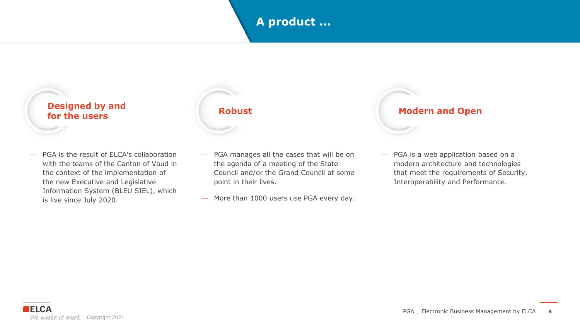## **A product ...**

### **Designed by and for the users**

— PGA is the result of ELCA's collaboration with the teams of the Canton of Vaud in the context of the implementation of the new Executive and Legislative Information System (BLEU SIEL), which is live since July 2020.



- PGA manages all the cases that will be on the agenda of a meeting of the State Council and/or the Grand Council at some point in their lives.
- More than 1000 users use PGA every day.



— PGA is a web application based on a modern architecture and technologies that meet the requirements of Security, Interoperability and Performance.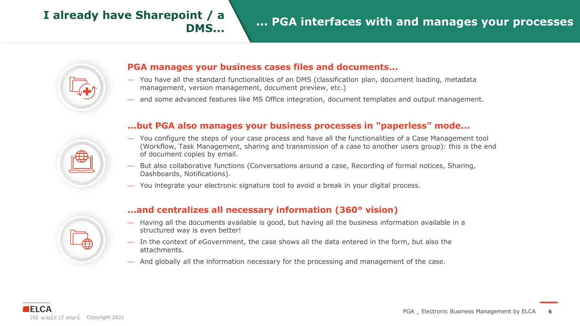## **DMS...**



### **PGA manages your business cases files and documents...**

- You have all the standard functionalities of an DMS (classification plan, document loading, metadata management, version management, document preview, etc.)
- and some advanced features like MS Office integration, document templates and output management.

### **...but PGA also manages your business processes in "paperless" mode...**

- You configure the steps of your case process and have all the functionalities of a Case Management tool (Workflow, Task Management, sharing and transmission of a case to another users group): this is the end of document copies by email.
- But also collaborative functions (Conversations around a case, Recording of formal notices, Sharing, Dashboards, Notifications).
- You integrate your electronic signature tool to avoid a break in your digital process.



### **...and centralizes all necessary information (360° vision)**

- Having all the documents available is good, but having all the business information available in a structured way is even better!
- In the context of eGovernment, the case shows all the data entered in the form, but also the attachments.
- And globally all the information necessary for the processing and management of the case.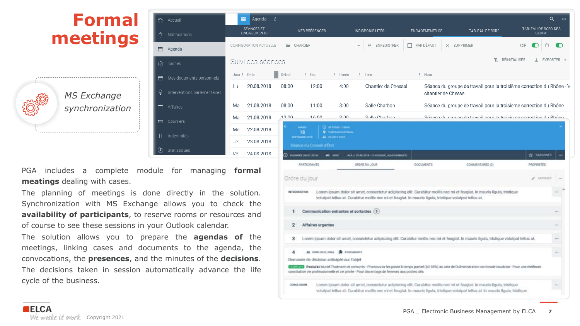

PGA includes a complete module for managing **formal meatings** dealing with cases.

The planning of meetings is done directly in the solution. Synchronization with MS Exchange allows you to check the **availability of participants**, to reserve rooms or resources and of course to see these sessions in your Outlook calendar.

The solution allows you to prepare the **agendas of** the meetings, linking cases and documents to the agenda, the convocations, the **presences**, and the minutes of the **decisions**. The decisions taken in session automatically advance the life cycle of the business.

|      |                                                                    |                                                              |                                                                                                         | chantier de Chessel |                                                                                                                                                                                                                                                                 |                   |  |
|------|--------------------------------------------------------------------|--------------------------------------------------------------|---------------------------------------------------------------------------------------------------------|---------------------|-----------------------------------------------------------------------------------------------------------------------------------------------------------------------------------------------------------------------------------------------------------------|-------------------|--|
| 3:00 | 11:00                                                              | 3:00                                                         | Salle Charbon                                                                                           |                     | Séance du groupe de travail pour la troisieme correction du Rhône                                                                                                                                                                                               |                   |  |
| ∩∩∙? | 16:00                                                              | 3∙UU                                                         | Calla Charhon                                                                                           |                     | Séance du aroune de travail nour la troisieme correction du Rhône                                                                                                                                                                                               |                   |  |
|      | MARIN<br>18<br>SUPERING 2018                                       | <b>C</b> seames care<br>9 смітеля патама<br>25. DE 2013-2013 |                                                                                                         |                     |                                                                                                                                                                                                                                                                 |                   |  |
|      | Seance du Consoil d'Etat                                           |                                                              |                                                                                                         |                     |                                                                                                                                                                                                                                                                 |                   |  |
|      | C PLANING DILUTION                                                 | $\frac{1}{2}$ and                                            | M.A.J. IN JR. 2010 - 11-43 (1000), JEAN DAWNIGETS                                                       |                     |                                                                                                                                                                                                                                                                 | <b>THEORNER</b>   |  |
|      | PARTICIPANTS                                                       |                                                              | <b>BUCK UD BROAD</b>                                                                                    | <b>OCCUMENTS</b>    | COMMENTAIRES (3)                                                                                                                                                                                                                                                | PROPRIETES        |  |
|      | Orare au jour                                                      |                                                              |                                                                                                         |                     |                                                                                                                                                                                                                                                                 | $\epsilon$ MODELS |  |
|      | <b>INTRODUCTION</b>                                                |                                                              | volutpat tellus at. Curabitur mollis nec mi et feugiat. In mauris liguia, tristique volutpat tellus at. |                     | Lorem ipsum dolor sit amet, consectetur adipiscing elit. Curabitur mollis nec mi et feugiat, in mauris ligula, tristique                                                                                                                                        |                   |  |
| Ŧ    | Communication entrantes et sortantes (5)                           |                                                              |                                                                                                         |                     |                                                                                                                                                                                                                                                                 |                   |  |
| 2    | Affaires urgentes                                                  |                                                              |                                                                                                         |                     |                                                                                                                                                                                                                                                                 |                   |  |
| з    |                                                                    |                                                              |                                                                                                         |                     | Lorem ipsum dolor sit amet, consectetur adipiscing elit. Curabitur mollis nec mi et feugiat. In mauris ligula, tristique volutpat tellus at.                                                                                                                    |                   |  |
| 4    | 22. DYNE (DAIC, DRIV)<br>Demande de décision anticipée sur l'objet | <b>E</b> 200CUMENTE                                          |                                                                                                         |                     |                                                                                                                                                                                                                                                                 |                   |  |
|      |                                                                    |                                                              | conciliation vie professionnelle et vie privée - Pour davantage de femmes aux postes clés               |                     | E Postulat Muriel Thalmann et consorts - Promouvoir les poste à temps partiel (80-95%) au sein de l'Administration cantonale vaudoise - Pour une melleure                                                                                                       |                   |  |
|      | CONCLUSION                                                         |                                                              |                                                                                                         |                     | Lorem ipsum dolor sit amet, consectetur adipiscing elit. Curabitur mollis nec mi et feugiat. In mauris ligula, tristique<br>volutpat tellus at. Curabitur moilis nec mi et feugiat. In mauris ligula, tristique volutpat tellus at, in mauris ligula, tristique |                   |  |
|      |                                                                    |                                                              |                                                                                                         |                     |                                                                                                                                                                                                                                                                 |                   |  |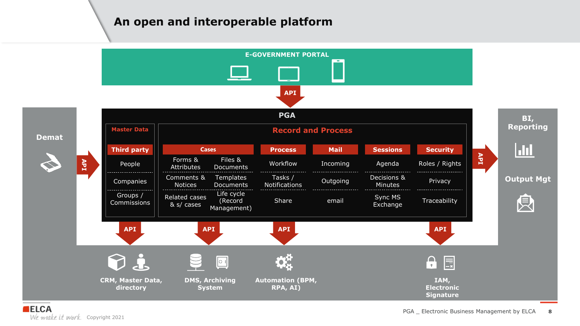## **An open and interoperable platform**

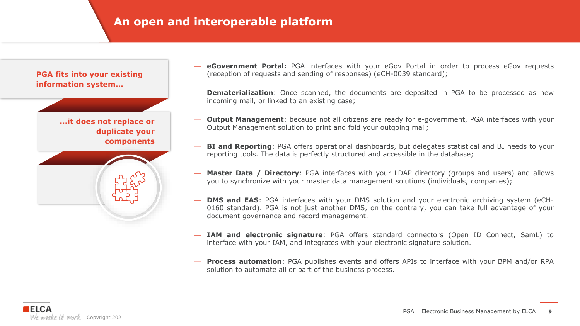## **An open and interoperable platform**

**PGA fits into your existing information system...**

> **...it does not replace or duplicate your components**



- **eGovernment Portal:** PGA interfaces with your eGov Portal in order to process eGov requests (reception of requests and sending of responses) (eCH-0039 standard);
- **Dematerialization**: Once scanned, the documents are deposited in PGA to be processed as new incoming mail, or linked to an existing case;
- **Output Management**: because not all citizens are ready for e-government, PGA interfaces with your Output Management solution to print and fold your outgoing mail;
- **BI and Reporting**: PGA offers operational dashboards, but delegates statistical and BI needs to your reporting tools. The data is perfectly structured and accessible in the database;
- **Master Data / Directory**: PGA interfaces with your LDAP directory (groups and users) and allows you to synchronize with your master data management solutions (individuals, companies);
- **DMS and EAS**: PGA interfaces with your DMS solution and your electronic archiving system (eCH-0160 standard). PGA is not just another DMS, on the contrary, you can take full advantage of your document governance and record management.
- **IAM and electronic signature**: PGA offers standard connectors (Open ID Connect, SamL) to interface with your IAM, and integrates with your electronic signature solution.
- **Process automation**: PGA publishes events and offers APIs to interface with your BPM and/or RPA solution to automate all or part of the business process.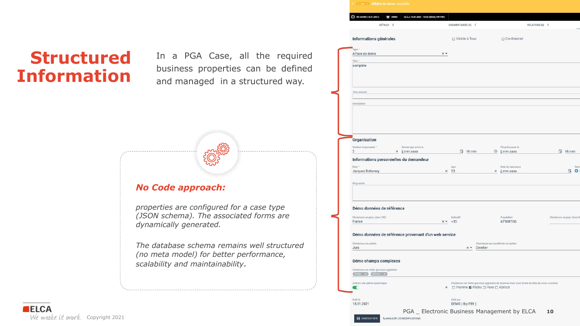## **Structured Information**

In a PGA Case, all the required business properties can be defined and managed in a structured way.

## *No Code approach:*

*properties are configured for a case type (JSON schema). The associated forms are dynamically generated.*

*The database schema remains well structured (no meta model) for better performance, scalability and maintainability.*

| DÉTAILS <i>i</i>                                             |                    | COMMENTAIRES (0) i                |                                      | RELATIONS (0) i                                                                                |                            |
|--------------------------------------------------------------|--------------------|-----------------------------------|--------------------------------------|------------------------------------------------------------------------------------------------|----------------------------|
|                                                              |                    |                                   |                                      |                                                                                                |                            |
| Informations générales                                       |                    | □ Visible à Tous                  | □ Confidentiel                       |                                                                                                |                            |
| Type *                                                       |                    |                                   |                                      |                                                                                                |                            |
| Affaire de demo                                              | $\times$ $\times$  |                                   |                                      |                                                                                                |                            |
| Titre *<br>complète                                          |                    |                                   |                                      |                                                                                                |                            |
|                                                              |                    |                                   |                                      |                                                                                                |                            |
| Titre résumé                                                 |                    |                                   |                                      |                                                                                                |                            |
| Description                                                  |                    |                                   |                                      |                                                                                                |                            |
|                                                              |                    |                                   |                                      |                                                                                                |                            |
|                                                              |                    |                                   |                                      |                                                                                                |                            |
|                                                              |                    |                                   |                                      |                                                                                                |                            |
| Organisation                                                 |                    |                                   |                                      |                                                                                                |                            |
| Sectour responsable *<br>Démarrage prévu le                  |                    |                                   | Fin prévu pour le                    |                                                                                                |                            |
| $\overline{2}$<br>x jj.mm.aaaa                               |                    | 曲<br>hh:mm                        | $\odot$<br>jj.mm.aaaa                |                                                                                                | a<br>hh:mm                 |
| Informations personnelles du demandeur                       |                    |                                   |                                      |                                                                                                |                            |
| Nom <sup>+</sup><br>Jacques Bollomey                         | Age<br>$\times$ 23 |                                   | Date de naissance<br>×<br>jj.mm.aaaa |                                                                                                | EO                         |
|                                                              |                    |                                   |                                      |                                                                                                |                            |
| Biographie:                                                  |                    |                                   |                                      |                                                                                                |                            |
|                                                              |                    |                                   |                                      |                                                                                                |                            |
| Démo données de référence                                    |                    |                                   |                                      |                                                                                                |                            |
| Choisissez un pays (dans IUE)                                |                    | Indicatif                         | Population                           |                                                                                                | Choisissez un pays (hors U |
| France                                                       | $x - 433$          |                                   | 67'848'156                           |                                                                                                |                            |
| Démo données de référence provenant d'un web service         |                    |                                   |                                      |                                                                                                |                            |
| Choisissez un canton<br>Jura                                 |                    | Develier<br>$\times$ $\times$     | Choisissez une localité de ce canton |                                                                                                |                            |
|                                                              |                    |                                   |                                      |                                                                                                |                            |
| Démo champs complexes                                        |                    |                                   |                                      |                                                                                                |                            |
| Choisissez les fruits que vous appréciez<br>PORE X (FECHE X) |                    |                                   |                                      |                                                                                                |                            |
| Activez une option quelconque<br>r                           | ×                  | □ Pomme ■ Pêche □ Poire □ Abricot |                                      | Choisissez les fruits que vous appréciez de nouveau mais sous forme de liste de cases à cocher |                            |
|                                                              |                    |                                   |                                      |                                                                                                |                            |
|                                                              |                    |                                   |                                      |                                                                                                |                            |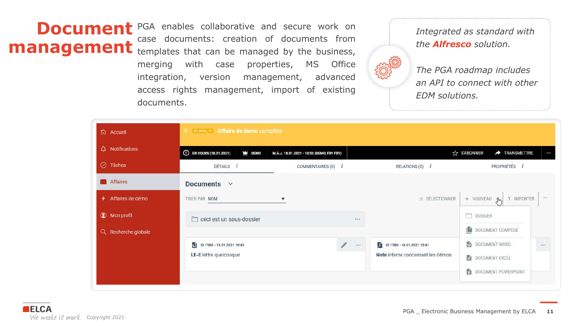**Document** PGA enables collaborative and secure work on case documents: creation of documents from **management** templates that can be managed by the business, merging with case properties, MS Office integration, version management, advanced access rights management, import of existing documents.



*Integrated as standard with the Alfresco solution.*

*The PGA roadmap includes an API to connect with other EDM solutions.*

| th Accueil             | El 21_DEM_11 Affaire de demo complète                          |                                   |          |                                                                  |                                                             |         |
|------------------------|----------------------------------------------------------------|-----------------------------------|----------|------------------------------------------------------------------|-------------------------------------------------------------|---------|
| Q Notifications        | <sup>(18.01.2021)</sup> EN COURS (18.01.2021)<br><b>W</b> DEMO | ☆ S'ABONNER<br><b>TRANSMETTRE</b> | $\cdots$ |                                                                  |                                                             |         |
| $\odot$ Tâches         | DÉTAILS <i>i</i>                                               | COMMENTAIRES (0) i                |          | RELATIONS (0) i                                                  | PROPRIÉTÉS <i>i</i>                                         |         |
| Affaires               | Documents $\vee$                                               |                                   |          |                                                                  |                                                             |         |
| ♦ Affaires de démo     | TRIER PAR NOM                                                  | $\boldsymbol{\mathrm{v}}$         |          | $\equiv$ SÉLECTIONNER                                            | + NOUVEAU Jm<br>T IMPORTER                                  | in con- |
| <b>C</b> Mon profil    | ceci est un sous-dossier                                       |                                   | 8.366    |                                                                  | DOSSIER                                                     |         |
| Recherche globale<br>Q |                                                                |                                   |          |                                                                  | n<br>DOCUMENT COMPOSÉ                                       |         |
|                        | ID 1'060 - 18.01.2021 10:43<br>LE-E lettre quelconque          |                                   | 888      | ID 1'080 - 18.01.2021 15:41<br>Note interne concernant les démos | DOCUMENT WORD<br>DOCUMENT EXCEL<br>Ð<br>DOCUMENT POWERPOINT | 888     |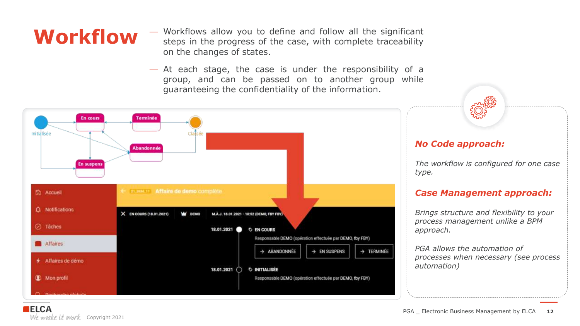**WOrkflow** - Workflows allow you to define and follow all the significant steps in the progress of the case, with complete traceability on the changes of states.

> — At each stage, the case is under the responsibility of a group, and can be passed on to another group while guaranteeing the confidentiality of the information.



### *No Code approach:*

*The workflow is configured for one case type.*

### *Case Management approach:*

*Brings structure and flexibility to your process management unlike a BPM approach.*

*PGA allows the automation of processes when necessary (see process automation)*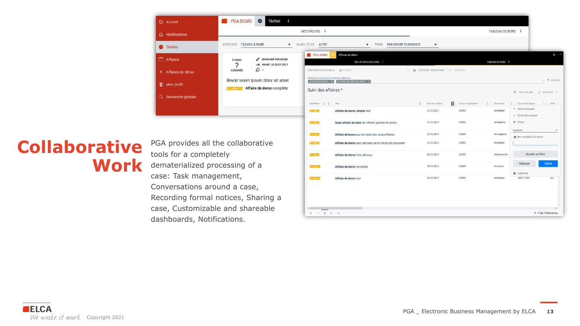

## **Collaborative Work**

PGA provides all the collaborative tools for a completely dematerialized processing of a case: Task management, Conversations around a case, Recording formal notices, Sharing a case, Customizable and shareable dashboards, Notifications.

| Suivi des affaires * |                                                         |                             |                                       | <b>Y.</b> RONTIALISER<br>A ENPORTER T                     |
|----------------------|---------------------------------------------------------|-----------------------------|---------------------------------------|-----------------------------------------------------------|
| Monthast 1 1 Three   |                                                         | п<br>biate do création<br>ŧ | Groupe migranoitée<br>Etatuatum       | $\mathbb{H}$ / Actif<br>Etit actust depidit<br>$\ddot{+}$ |
| 4331104.75           | Affaire de demo_simple test                             | 12.01.2021                  | DEMO<br>Initialisée                   | Ordre croissant<br>÷.<br>+ Ordre décroissant              |
| <b>CONTRACTO</b>     | Sous-affaire de base de l'affaire parente de démo       | 12.01.2021                  | DEMO<br>Initialisé e                  | <b>T</b> Filtrer<br>Contient<br>۰                         |
| <b>THURS</b>         | Affaire de base pour les tests des sous-affaires        | 12.01.2021                  | <b>HASSA</b><br>DEMO<br>En suspens    | Non sensible ii la casse                                  |
| <b>FEBRUARY</b>      | Affaire de demo pour les tests de la fusion de document | 12.01.2021                  | DEMO<br>Initialisée                   |                                                           |
| <b>CONTROL</b>       | Affaire de demo Test alfresco                           | 08.01.2021                  | <b>SECTIONS</b><br>DEMO<br>Abandonnée | Ajouter un filtre                                         |
| <b>COMMAND</b>       | Affaire de demo complète                                | 18.01.2021                  | DEMO<br>En cours                      | Filtrer<br>Nettoyer<br><b>III</b> Colonnes                |
| 33.004.50            | Affaire de demo test                                    | 18.01.2021                  | DEMO<br>Initialisée                   | 18.01.2021<br>oui                                         |
|                      |                                                         |                             |                                       |                                                           |
|                      |                                                         |                             |                                       |                                                           |
|                      |                                                         |                             |                                       | 13                                                        |
| $\overline{a}$       | ×                                                       |                             |                                       | 1-7 de 7 éléments                                         |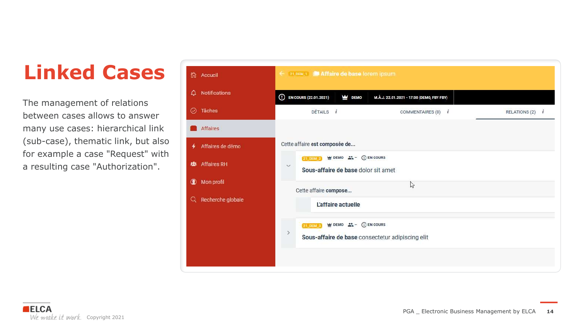## **Linked Cases**

The management of relations between cases allows to answer many use cases: hierarchical link (sub-case), thematic link, but also for example a case "Request" with a resulting case "Authorization".

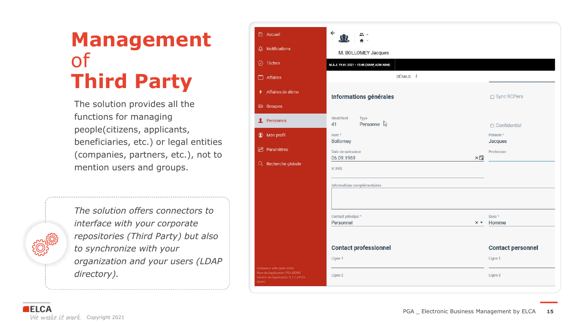## **Management**  of **Third Party**

The solution provides all the functions for managing people(citizens, applicants, beneficiaries, etc.) or legal entities (companies, partners, etc.), not to mention users and groups.

*The solution offers connectors to interface with your corporate repositories (Third Party) but also to synchronize with your organization and your users (LDAP directory).*

|             | th Accueil                                                                                            | $\leftarrow$<br>$\Omega$                               |                                |
|-------------|-------------------------------------------------------------------------------------------------------|--------------------------------------------------------|--------------------------------|
|             | $\Delta$ Notifications                                                                                | M. BOLLOMEY Jacques                                    |                                |
|             | $\oslash$ Tâches                                                                                      | M.A.J. 19.01.2021 - 15:48 (ADAP, ADM ADM)              |                                |
|             | Affaires                                                                                              | DÉTAILS <i>i</i>                                       |                                |
|             | + Affaires de démo                                                                                    | Informations générales                                 | □ Sync RCPers                  |
|             | <b>趣 Groupes</b>                                                                                      |                                                        |                                |
|             | Personnes                                                                                             | Identifiant<br>Type<br>Personne &<br>41                | $\Box$ Confidentiel            |
|             | <b>1</b> Mon profil                                                                                   | Nom <sup>*</sup><br><b>Bollomey</b>                    | Prénom <sup>®</sup><br>Jacques |
|             | <b>a</b> Paramètres                                                                                   | Date de naissance                                      | Profession                     |
|             | Q Recherche globale                                                                                   | ×Ë<br>06.09.1969<br>N°AVS                              |                                |
|             |                                                                                                       | Informations complémentaires                           |                                |
|             |                                                                                                       | Contact principal *<br>Personnel<br>$X$ $\overline{v}$ | Sexe <sup>*</sup><br>Homme     |
|             |                                                                                                       |                                                        |                                |
|             |                                                                                                       | <b>Contact professionnel</b>                           | <b>Contact personnel</b>       |
|             |                                                                                                       | Ligne 1                                                | Ligne 1                        |
| <b>DEMO</b> | Utilisateur: adm (adm ADM)<br>Nom de l'application: PGA-DEMO<br>Version de l'application: D.1.1.4-PGA | Ligne 2                                                | Ligne 2                        |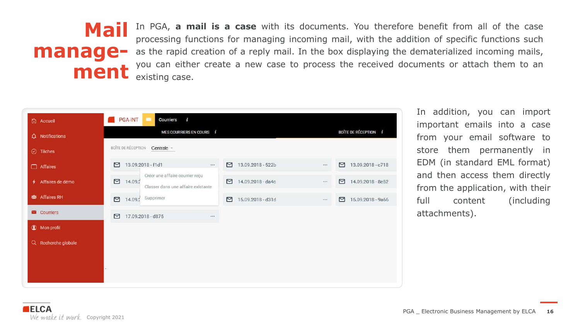## **Mail management**

In PGA, **a mail is a case** with its documents. You therefore benefit from all of the case processing functions for managing incoming mail, with the addition of specific functions such as the rapid creation of a reply mail. In the box displaying the dematerialized incoming mails, you can either create a new case to process the received documents or attach them to an existing case.



In addition, you can import important emails into a case from your email software to store them permanently in EDM (in standard EML format) and then access them directly from the application, with their full content (including attachments).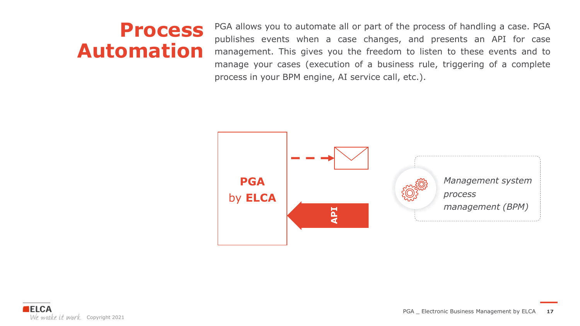## **Process Automation**

PGA allows you to automate all or part of the process of handling a case. PGA publishes events when a case changes, and presents an API for case management. This gives you the freedom to listen to these events and to manage your cases (execution of a business rule, triggering of a complete process in your BPM engine, AI service call, etc.).

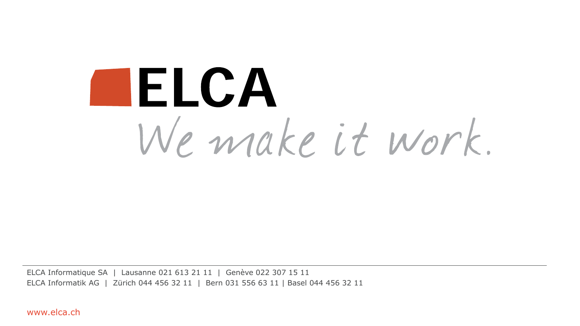# **ILLCA** We make it work.

ELCA Informatique SA | Lausanne 021 613 21 11 | Genève 022 307 15 11 ELCA Informatik AG | Zürich 044 456 32 11 | Bern 031 556 63 11 | Basel 044 456 32 11

www.elca.ch